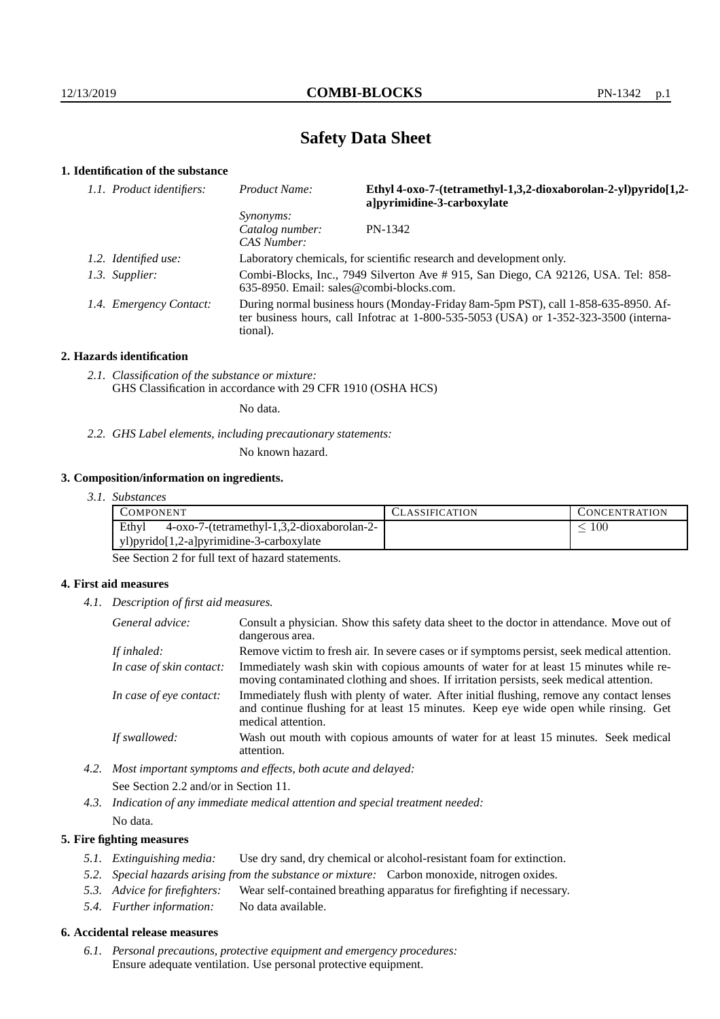# **Safety Data Sheet**

# **1. Identification of the substance**

| 1.1. Product identifiers: | Product Name:                                                                                                                                                                           | Ethyl 4-oxo-7-(tetramethyl-1,3,2-dioxaborolan-2-yl)pyrido[1,2-<br>a pyrimidine-3-carboxylate |  |
|---------------------------|-----------------------------------------------------------------------------------------------------------------------------------------------------------------------------------------|----------------------------------------------------------------------------------------------|--|
|                           | <i>Synonyms:</i><br>Catalog number:<br>CAS Number:                                                                                                                                      | PN-1342                                                                                      |  |
| 1.2. Identified use:      | Laboratory chemicals, for scientific research and development only.                                                                                                                     |                                                                                              |  |
| 1.3. Supplier:            | Combi-Blocks, Inc., 7949 Silverton Ave # 915, San Diego, CA 92126, USA. Tel: 858-<br>$635-8950$ . Email: sales@combi-blocks.com.                                                        |                                                                                              |  |
| 1.4. Emergency Contact:   | During normal business hours (Monday-Friday 8am-5pm PST), call 1-858-635-8950. Af-<br>ter business hours, call Infotrac at 1-800-535-5053 (USA) or 1-352-323-3500 (interna-<br>tional). |                                                                                              |  |

## **2. Hazards identification**

*2.1. Classification of the substance or mixture:* GHS Classification in accordance with 29 CFR 1910 (OSHA HCS)

No data.

*2.2. GHS Label elements, including precautionary statements:*

No known hazard.

## **3. Composition/information on ingredients.**

*3.1. Substances*

| Ethyl<br>$100\,$<br>4-oxo-7-(tetramethyl-1,3,2-dioxaborolan-2- | COMPONENT                                | CLASSIFICATION | <b>CONCENTRATION</b> |
|----------------------------------------------------------------|------------------------------------------|----------------|----------------------|
|                                                                |                                          |                |                      |
|                                                                | yl)pyrido[1,2-a]pyrimidine-3-carboxylate |                |                      |

See Section 2 for full text of hazard statements.

### **4. First aid measures**

*4.1. Description of first aid measures.*

| General advice:          | Consult a physician. Show this safety data sheet to the doctor in attendance. Move out of<br>dangerous area.                                                                                            |
|--------------------------|---------------------------------------------------------------------------------------------------------------------------------------------------------------------------------------------------------|
| If inhaled:              | Remove victim to fresh air. In severe cases or if symptoms persist, seek medical attention.                                                                                                             |
| In case of skin contact: | Immediately wash skin with copious amounts of water for at least 15 minutes while re-<br>moving contaminated clothing and shoes. If irritation persists, seek medical attention.                        |
| In case of eye contact:  | Immediately flush with plenty of water. After initial flushing, remove any contact lenses<br>and continue flushing for at least 15 minutes. Keep eye wide open while rinsing. Get<br>medical attention. |
| If swallowed:            | Wash out mouth with copious amounts of water for at least 15 minutes. Seek medical<br>attention.                                                                                                        |

- *4.2. Most important symptoms and effects, both acute and delayed:* See Section 2.2 and/or in Section 11.
- *4.3. Indication of any immediate medical attention and special treatment needed:* No data.

## **5. Fire fighting measures**

- *5.1. Extinguishing media:* Use dry sand, dry chemical or alcohol-resistant foam for extinction.
- *5.2. Special hazards arising from the substance or mixture:* Carbon monoxide, nitrogen oxides.
- *5.3. Advice for firefighters:* Wear self-contained breathing apparatus for firefighting if necessary.
- *5.4. Further information:* No data available.

## **6. Accidental release measures**

*6.1. Personal precautions, protective equipment and emergency procedures:* Ensure adequate ventilation. Use personal protective equipment.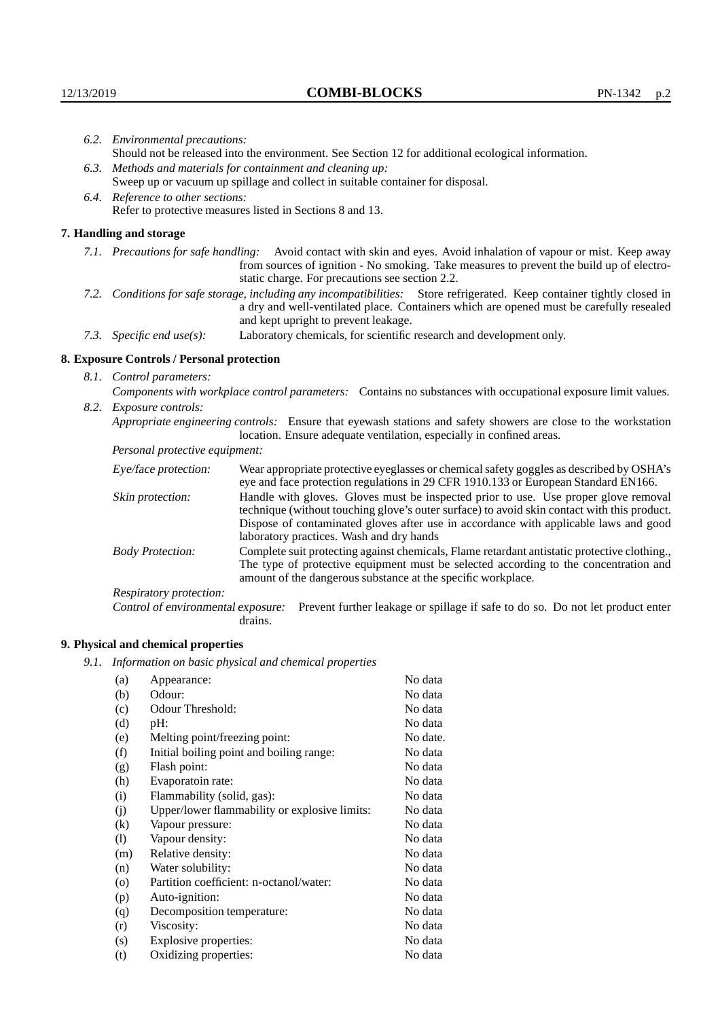|                                                                                                               | 6.2. Environmental precautions:                                                                                                                                                                                                                                    |                                                                                                                                                                                        |  |
|---------------------------------------------------------------------------------------------------------------|--------------------------------------------------------------------------------------------------------------------------------------------------------------------------------------------------------------------------------------------------------------------|----------------------------------------------------------------------------------------------------------------------------------------------------------------------------------------|--|
|                                                                                                               | Should not be released into the environment. See Section 12 for additional ecological information.                                                                                                                                                                 |                                                                                                                                                                                        |  |
|                                                                                                               | 6.3. Methods and materials for containment and cleaning up:                                                                                                                                                                                                        |                                                                                                                                                                                        |  |
|                                                                                                               |                                                                                                                                                                                                                                                                    | Sweep up or vacuum up spillage and collect in suitable container for disposal.                                                                                                         |  |
| 6.4. Reference to other sections:                                                                             |                                                                                                                                                                                                                                                                    |                                                                                                                                                                                        |  |
| Refer to protective measures listed in Sections 8 and 13.                                                     |                                                                                                                                                                                                                                                                    |                                                                                                                                                                                        |  |
|                                                                                                               | 7. Handling and storage                                                                                                                                                                                                                                            |                                                                                                                                                                                        |  |
|                                                                                                               | 7.1. Precautions for safe handling: Avoid contact with skin and eyes. Avoid inhalation of vapour or mist. Keep away<br>from sources of ignition - No smoking. Take measures to prevent the build up of electro-<br>static charge. For precautions see section 2.2. |                                                                                                                                                                                        |  |
|                                                                                                               | 7.2. Conditions for safe storage, including any incompatibilities: Store refrigerated. Keep container tightly closed in<br>a dry and well-ventilated place. Containers which are opened must be carefully resealed<br>and kept upright to prevent leakage.         |                                                                                                                                                                                        |  |
|                                                                                                               | 7.3. Specific end use(s):                                                                                                                                                                                                                                          | Laboratory chemicals, for scientific research and development only.                                                                                                                    |  |
|                                                                                                               | 8. Exposure Controls / Personal protection                                                                                                                                                                                                                         |                                                                                                                                                                                        |  |
|                                                                                                               | 8.1. Control parameters:                                                                                                                                                                                                                                           |                                                                                                                                                                                        |  |
| Components with workplace control parameters: Contains no substances with occupational exposure limit values. |                                                                                                                                                                                                                                                                    |                                                                                                                                                                                        |  |
|                                                                                                               | 8.2. Exposure controls:                                                                                                                                                                                                                                            |                                                                                                                                                                                        |  |
|                                                                                                               |                                                                                                                                                                                                                                                                    | Appropriate engineering controls: Ensure that eyewash stations and safety showers are close to the workstation<br>location. Ensure adequate ventilation, especially in confined areas. |  |
|                                                                                                               | Personal protective equipment:                                                                                                                                                                                                                                     |                                                                                                                                                                                        |  |
|                                                                                                               | Eye/face protection:                                                                                                                                                                                                                                               | Wear appropriate protective eyeglasses or chemical safety goggles as described by OSHA's<br>eye and face protection regulations in 29 CFR 1910.133 or European Standard EN166.         |  |
|                                                                                                               | Skin protection:                                                                                                                                                                                                                                                   | Handle with gloves. Gloves must be inspected prior to use. Use proper glove removal<br>technique (without touching glove's outer surface) to avoid skin contact with this product.     |  |

| Eye/face protection:                                                                    |                                                                                                                                                                                                                                                                                                                        | Wear appropriate protective eyeglasses or chemical safety goggles as described by OSHA's<br>eye and face protection regulations in 29 CFR 1910.133 or European Standard EN166.       |  |
|-----------------------------------------------------------------------------------------|------------------------------------------------------------------------------------------------------------------------------------------------------------------------------------------------------------------------------------------------------------------------------------------------------------------------|--------------------------------------------------------------------------------------------------------------------------------------------------------------------------------------|--|
| Skin protection:                                                                        | Handle with gloves. Gloves must be inspected prior to use. Use proper glove removal<br>technique (without touching glove's outer surface) to avoid skin contact with this product.<br>Dispose of contaminated gloves after use in accordance with applicable laws and good<br>laboratory practices. Wash and dry hands |                                                                                                                                                                                      |  |
| <b>Body Protection:</b><br>amount of the dangerous substance at the specific workplace. |                                                                                                                                                                                                                                                                                                                        | Complete suit protecting against chemicals, Flame retardant antistatic protective clothing.,<br>The type of protective equipment must be selected according to the concentration and |  |
| Respiratory protection:                                                                 |                                                                                                                                                                                                                                                                                                                        |                                                                                                                                                                                      |  |
| Control of environmental exposure:                                                      | drains.                                                                                                                                                                                                                                                                                                                | Prevent further leakage or spillage if safe to do so. Do not let product enter                                                                                                       |  |

# **9. Physical and chemical properties**

*9.1. Information on basic physical and chemical properties*

| (a)                        | Appearance:                                   | No data  |
|----------------------------|-----------------------------------------------|----------|
| (b)                        | Odour:                                        | No data  |
| (c)                        | Odour Threshold:                              | No data  |
| (d)                        | $pH$ :                                        | No data  |
| (e)                        | Melting point/freezing point:                 | No date. |
| (f)                        | Initial boiling point and boiling range:      | No data  |
| (g)                        | Flash point:                                  | No data  |
| (h)                        | Evaporatoin rate:                             | No data  |
| (i)                        | Flammability (solid, gas):                    | No data  |
| (j)                        | Upper/lower flammability or explosive limits: | No data  |
| (k)                        | Vapour pressure:                              | No data  |
| $\left( \mathrm{l}\right)$ | Vapour density:                               | No data  |
| (m)                        | Relative density:                             | No data  |
| (n)                        | Water solubility:                             | No data  |
| $\rm (o)$                  | Partition coefficient: n-octanol/water:       | No data  |
| (p)                        | Auto-ignition:                                | No data  |
| (q)                        | Decomposition temperature:                    | No data  |
| (r)                        | Viscosity:                                    | No data  |
| (s)                        | Explosive properties:                         | No data  |
| (t)                        | Oxidizing properties:                         | No data  |